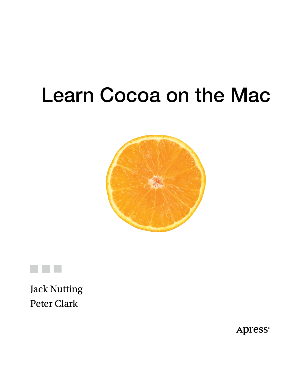# Learn Cocoa on the Mac





Jack Nutting Peter Clark

Apress<sup>®</sup>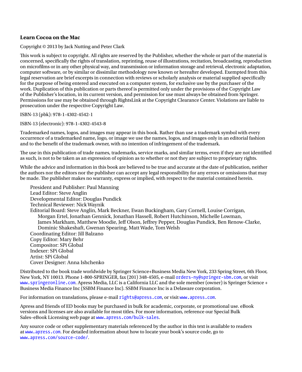#### **Learn Cocoa on the Mac**

Copyright © 2013 by Jack Nutting and Peter Clark

This work is subject to copyright. All rights are reserved by the Publisher, whether the whole or part of the material is concerned, specifically the rights of translation, reprinting, reuse of illustrations, recitation, broadcasting, reproduction on microfilms or in any other physical way, and transmission or information storage and retrieval, electronic adaptation, computer software, or by similar or dissimilar methodology now known or hereafter developed. Exempted from this legal reservation are brief excerpts in connection with reviews or scholarly analysis or material supplied specifically for the purpose of being entered and executed on a computer system, for exclusive use by the purchaser of the work. Duplication of this publication or parts thereof is permitted only under the provisions of the Copyright Law of the Publisher's location, in its current version, and permission for use must always be obtained from Springer. Permissions for use may be obtained through RightsLink at the Copyright Clearance Center. Violations are liable to prosecution under the respective Copyright Law.

ISBN-13 (pbk): 978-1-4302-4542-1

ISBN-13 (electronic): 978-1-4302-4543-8

Trademarked names, logos, and images may appear in this book. Rather than use a trademark symbol with every occurrence of a trademarked name, logo, or image we use the names, logos, and images only in an editorial fashion and to the benefit of the trademark owner, with no intention of infringement of the trademark.

The use in this publication of trade names, trademarks, service marks, and similar terms, even if they are not identified as such, is not to be taken as an expression of opinion as to whether or not they are subject to proprietary rights.

While the advice and information in this book are believed to be true and accurate at the date of publication, neither the authors nor the editors nor the publisher can accept any legal responsibility for any errors or omissions that may be made. The publisher makes no warranty, express or implied, with respect to the material contained herein.

President and Publisher: Paul Manning Lead Editor: Steve Anglin Developmental Editor: Douglas Pundick Technical Reviewer: Nick Waynik Editorial Board: Steve Anglin, Mark Beckner, Ewan Buckingham, Gary Cornell, Louise Corrigan, Morgan Ertel, Jonathan Gennick, Jonathan Hassell, Robert Hutchinson, Michelle Lowman, James Markham, Matthew Moodie, Jeff Olson, Jeffrey Pepper, Douglas Pundick, Ben Renow-Clarke, Dominic Shakeshaft, Gwenan Spearing, Matt Wade, Tom Welsh Coordinating Editor: Jill Balzano Copy Editor: Mary Behr Compositor: SPi Global Indexer: SPi Global Artist: SPi Global Cover Designer: Anna Ishchenko

Distributed to the book trade worldwide by Springer Science+Business Media New York, 233 Spring Street, 6th Floor, New York, NY 10013. Phone 1-800-SPRINGER, fax (201) 348-4505, e-mail [orders-ny@springer-sbm.com](http://orders-ny@springer-sbm.com), or visit [www.springeronline.com](http://www.springeronline.com). Apress Media, LLC is a California LLC and the sole member (owner) is Springer Science + Business Media Finance Inc (SSBM Finance Inc). SSBM Finance Inc is a Delaware corporation.

For information on translations, please e-mail [rights@apress.com](http://rights@apress.com), or visit [www.apress.com](http://www.apress.com).

Apress and friends of ED books may be purchased in bulk for academic, corporate, or promotional use. eBook versions and licenses are also available for most titles. For more information, reference our Special Bulk Sales–eBook Licensing web page at [www.apress.com/bulk-sales](http://www.apress.com/bulk-sales).

Any source code or other supplementary materials referenced by the author in this text is available to readers at [www.apress.com](http://www.apress.com). For detailed information about how to locate your book's source code, go to [www.apress.com/source-code/](http://www.apress.com/source-code/).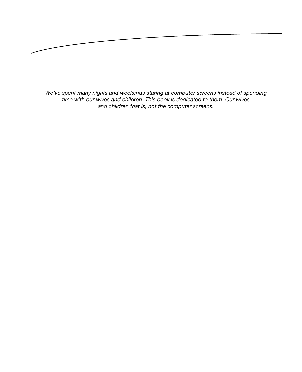*We've spent many nights and weekends staring at computer screens instead of spending time with our wives and children. This book is dedicated to them. Our wives and children that is, not the computer screens.*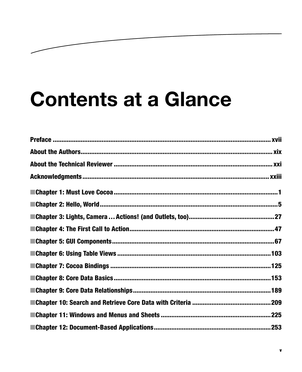# **Contents at a Glance**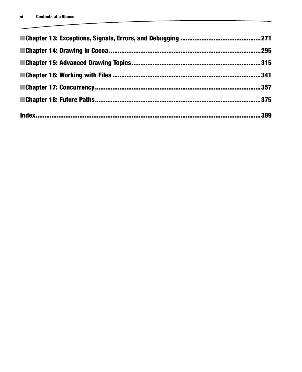| 389 |
|-----|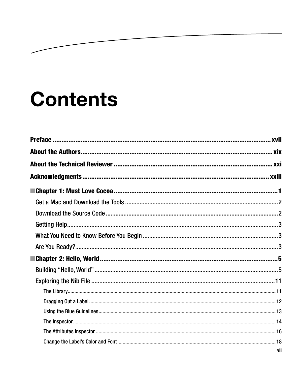# **Contents**

| vii |
|-----|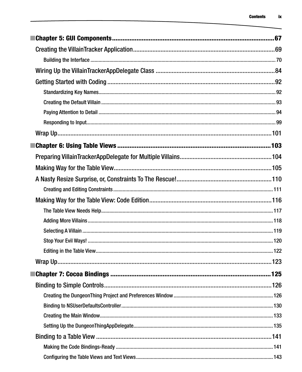| ■Chapter 7: Cocoa Bindings ………………………………………………………………………………125 |     |
|--------------------------------------------------------------|-----|
|                                                              | 126 |
|                                                              |     |
|                                                              |     |
|                                                              |     |
|                                                              |     |
|                                                              |     |
|                                                              |     |
|                                                              |     |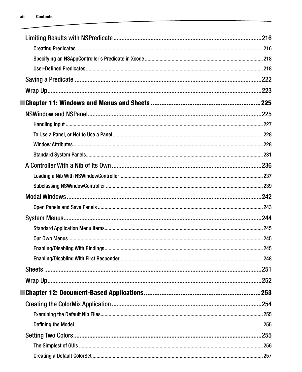| .254 |
|------|
|      |
|      |
|      |
|      |
|      |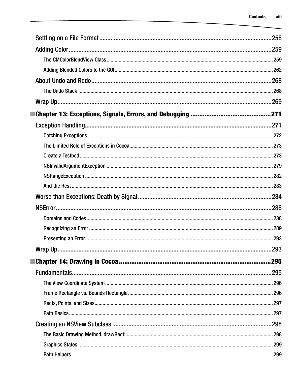| 296 |
|-----|
|     |
|     |
|     |
|     |
|     |
|     |
|     |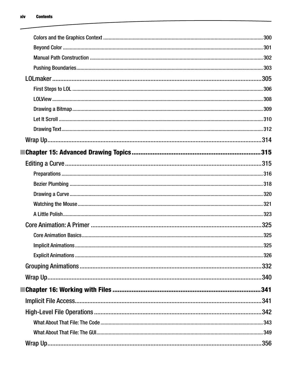| 341 |
|-----|
|     |
|     |
|     |
|     |
|     |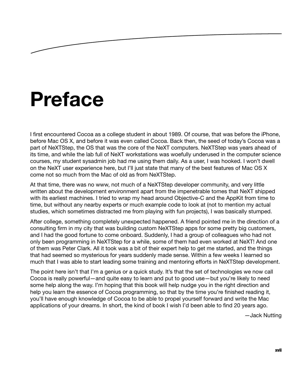### **Preface**

I first encountered Cocoa as a college student in about 1989. Of course, that was before the iPhone, before Mac OS X, and before it was even called Cocoa. Back then, the seed of today's Cocoa was a part of NeXTStep, the OS that was the core of the NeXT computers. NeXTStep was years ahead of its time, and while the lab full of NeXT workstations was woefully underused in the computer science courses, my student sysadmin job had me using them daily. As a user, I was hooked. I won't dwell on the NeXT user experience here, but I'll just state that many of the best features of Mac OS X come not so much from the Mac of old as from NeXTStep.

At that time, there was no www, not much of a NeXTStep developer community, and very little written about the development environment apart from the impenetrable tomes that NeXT shipped with its earliest machines. I tried to wrap my head around Objective-C and the AppKit from time to time, but without any nearby experts or much example code to look at (not to mention my actual studies, which sometimes distracted me from playing with fun projects), I was basically stumped.

After college, something completely unexpected happened. A friend pointed me in the direction of a consulting firm in my city that was building custom NeXTStep apps for some pretty big customers, and I had the good fortune to come onboard. Suddenly, I had a group of colleagues who had not only been programming in NeXTStep for a while, some of them had even worked at NeXT! And one of them was Peter Clark. All it took was a bit of their expert help to get me started, and the things that had seemed so mysterious for years suddenly made sense. Within a few weeks I learned so much that I was able to start leading some training and mentoring efforts in NeXTStep development.

The point here isn't that I'm a genius or a quick study. It's that the set of technologies we now call Cocoa is really powerful—and quite easy to learn and put to good use—but you're likely to need some help along the way. I'm hoping that this book will help nudge you in the right direction and help you learn the essence of Cocoa programming, so that by the time you're finished reading it, you'll have enough knowledge of Cocoa to be able to propel yourself forward and write the Mac applications of your dreams. In short, the kind of book I wish I'd been able to find 20 years ago.

—Jack Nutting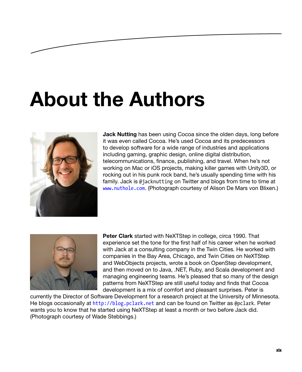# **About the Authors**



**Jack Nutting** has been using Cocoa since the olden days, long before it was even called Cocoa. He's used Cocoa and its predecessors to develop software for a wide range of industries and applications including gaming, graphic design, online digital distribution, telecommunications, finance, publishing, and travel. When he's not working on Mac or iOS projects, making killer games with Unity3D, or rocking out in his punk rock band, he's usually spending time with his family. Jack is @jacknutting on Twitter and blogs from time to time at <www.nuthole.com>. (Photograph courtesy of Alison De Mars von Blixen.)



**Peter Clark** started with NeXTStep in college, circa 1990. That experience set the tone for the first half of his career when he worked with Jack at a consulting company in the Twin Cities. He worked with companies in the Bay Area, Chicago, and Twin Cities on NeXTStep and WebObjects projects, wrote a book on OpenStep development, and then moved on to Java, .NET, Ruby, and Scala development and managing engineering teams. He's pleased that so many of the design patterns from NeXTStep are still useful today and finds that Cocoa development is a mix of comfort and pleasant surprises. Peter is

currently the Director of Software Development for a research project at the University of Minnesota. He blogs occasionally at <http://blog.pclark.net> and can be found on Twitter as @pclark. Peter wants you to know that he started using NeXTStep at least a month or two before Jack did. (Photograph courtesy of Wade Stebbings.)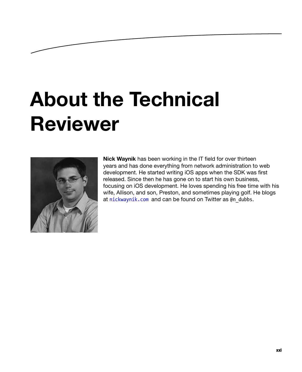# **About the Technical Reviewer**



**Nick Waynik** has been working in the IT field for over thirteen years and has done everything from network administration to web development. He started writing iOS apps when the SDK was first released. Since then he has gone on to start his own business, focusing on iOS development. He loves spending his free time with his wife, Allison, and son, Preston, and sometimes playing golf. He blogs at [nickwaynik.com](http://nickwaynik.com) and can be found on Twitter as @n\_dubbs.